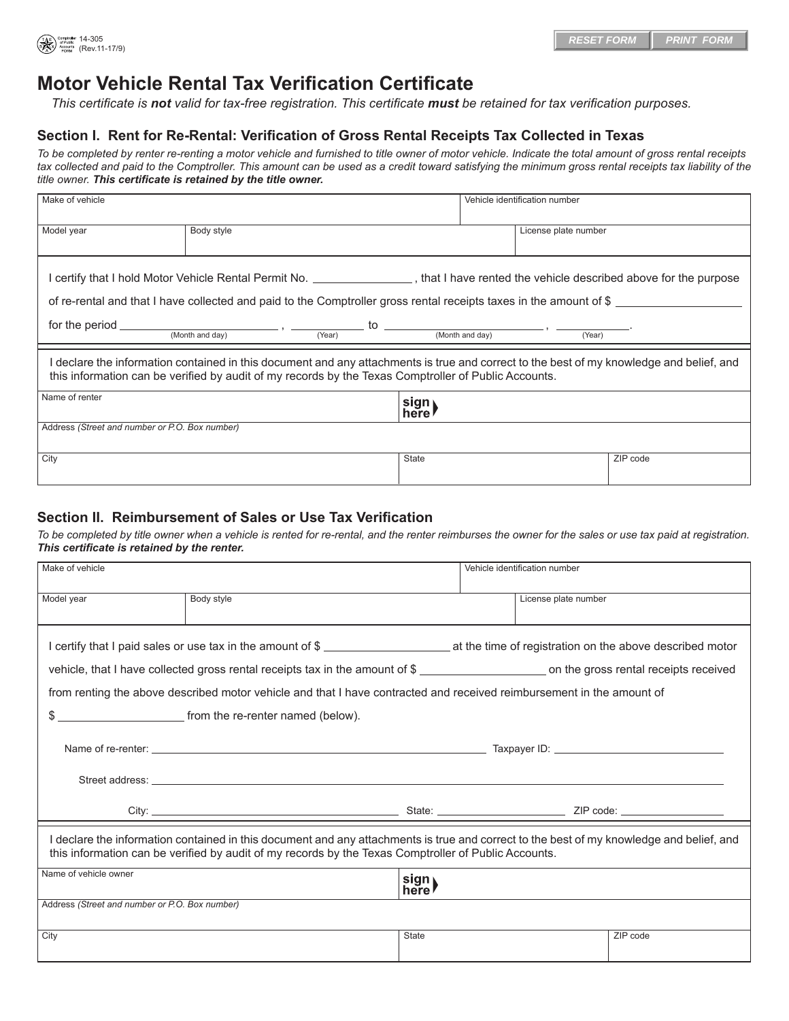

## **Motor Vehicle Rental Tax Verification Certificate**

*This certificate is not valid for tax-free registration. This certificate must be retained for tax verification purposes.*

## **Section I. Rent for Re-Rental: Verification of Gross Rental Receipts Tax Collected in Texas**

*To be completed by renter re-renting a motor vehicle and furnished to title owner of motor vehicle. Indicate the total amount of gross rental receipts*  tax collected and paid to the Comptroller. This amount can be used as a credit toward satisfying the minimum gross rental receipts tax liability of the *title owner. This certificate is retained by the title owner.*

| Make of vehicle                                                                                                                                                                                                                                               |            |  |               |  | Vehicle identification number |          |
|---------------------------------------------------------------------------------------------------------------------------------------------------------------------------------------------------------------------------------------------------------------|------------|--|---------------|--|-------------------------------|----------|
| Model year                                                                                                                                                                                                                                                    | Body style |  |               |  | License plate number          |          |
| l certify that I hold Motor Vehicle Rental Permit No. _________________, that I have rented the vehicle described above for the purpose<br>of re-rental and that I have collected and paid to the Comptroller gross rental receipts taxes in the amount of \$ |            |  |               |  |                               |          |
| for the period $\frac{1}{(Month \text{ and day})}$ , $\frac{1}{(Year)}$ to $\frac{1}{(Month \text{ and day})}$ , $\frac{1}{(Year)}$                                                                                                                           |            |  |               |  |                               |          |
| declare the information contained in this document and any attachments is true and correct to the best of my knowledge and belief, and<br>this information can be verified by audit of my records by the Texas Comptroller of Public Accounts.                |            |  |               |  |                               |          |
| Name of renter                                                                                                                                                                                                                                                |            |  | sign)<br>here |  |                               |          |
| Address (Street and number or P.O. Box number)                                                                                                                                                                                                                |            |  |               |  |                               |          |
| City                                                                                                                                                                                                                                                          |            |  | <b>State</b>  |  |                               | ZIP code |

## **Section II. Reimbursement of Sales or Use Tax Verification**

*To be completed by title owner when a vehicle is rented for re-rental, and the renter reimburses the owner for the sales or use tax paid at registration. This certificate is retained by the renter.*

| Make of vehicle                                                                                                                                                                                                                                  |                                                                                                                       |               | Vehicle identification number |          |  |
|--------------------------------------------------------------------------------------------------------------------------------------------------------------------------------------------------------------------------------------------------|-----------------------------------------------------------------------------------------------------------------------|---------------|-------------------------------|----------|--|
| Model year                                                                                                                                                                                                                                       | Body style                                                                                                            |               | License plate number          |          |  |
|                                                                                                                                                                                                                                                  | I certify that I paid sales or use tax in the amount of \$                                                            |               |                               |          |  |
|                                                                                                                                                                                                                                                  |                                                                                                                       |               |                               |          |  |
|                                                                                                                                                                                                                                                  | from renting the above described motor vehicle and that I have contracted and received reimbursement in the amount of |               |                               |          |  |
|                                                                                                                                                                                                                                                  | \$                                                                                                                    |               |                               |          |  |
|                                                                                                                                                                                                                                                  |                                                                                                                       |               |                               |          |  |
|                                                                                                                                                                                                                                                  |                                                                                                                       |               |                               |          |  |
|                                                                                                                                                                                                                                                  |                                                                                                                       |               |                               |          |  |
| I declare the information contained in this document and any attachments is true and correct to the best of my knowledge and belief, and<br>this information can be verified by audit of my records by the Texas Comptroller of Public Accounts. |                                                                                                                       |               |                               |          |  |
| Name of vehicle owner                                                                                                                                                                                                                            |                                                                                                                       | sign)<br>here |                               |          |  |
| Address (Street and number or P.O. Box number)                                                                                                                                                                                                   |                                                                                                                       |               |                               |          |  |
| City                                                                                                                                                                                                                                             |                                                                                                                       | <b>State</b>  |                               | ZIP code |  |